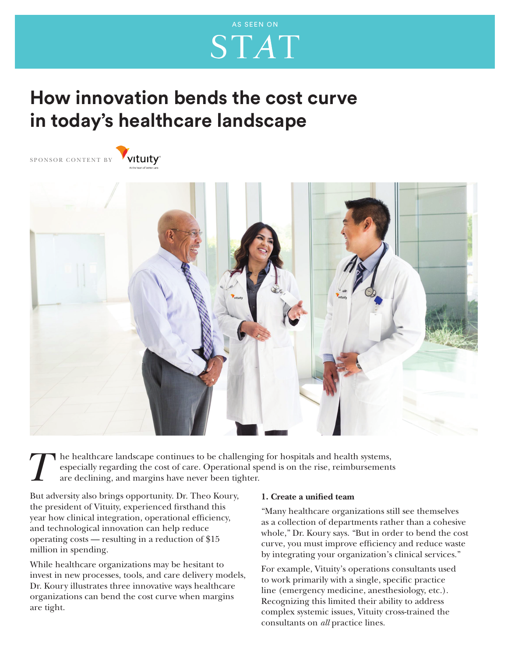## AS SEEN ON**STAT**

### **How innovation bends the cost curve in today's healthcare landscape**





*T*  he healthcare landscape continues to be challenging for hospitals and health systems, especially regarding the cost of care. Operational spend is on the rise, reimbursements are declining, and margins have never been tighter.

But adversity also brings opportunity. Dr. Theo Koury, the president of Vituity, experienced firsthand this year how clinical integration, operational efficiency, and technological innovation can help reduce operating costs — resulting in a reduction of \$15 million in spending.

While healthcare organizations may be hesitant to invest in new processes, tools, and care delivery models, Dr. Koury illustrates three innovative ways healthcare organizations can bend the cost curve when margins are tight.

#### **1. Create a unified team**

"Many healthcare organizations still see themselves as a collection of departments rather than a cohesive whole," Dr. Koury says. "But in order to bend the cost curve, you must improve efficiency and reduce waste by integrating your organization's clinical services."

For example, Vituity's operations consultants used to work primarily with a single, specific practice line (emergency medicine, anesthesiology, etc.). Recognizing this limited their ability to address complex systemic issues, Vituity cross-trained the consultants on *all* practice lines.